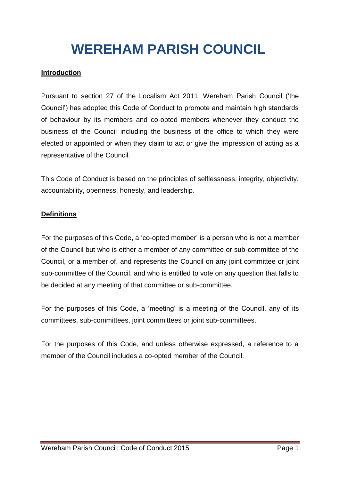# **WEREHAM PARISH COUNCIL**

### **Introduction**

Pursuant to section 27 of the Localism Act 2011, Wereham Parish Council ('the Council') has adopted this Code of Conduct to promote and maintain high standards of behaviour by its members and co-opted members whenever they conduct the business of the Council including the business of the office to which they were elected or appointed or when they claim to act or give the impression of acting as a representative of the Council.

This Code of Conduct is based on the principles of selflessness, integrity, objectivity, accountability, openness, honesty, and leadership.

#### **Definitions**

For the purposes of this Code, a 'co-opted member' is a person who is not a member of the Council but who is either a member of any committee or sub-committee of the Council, or a member of, and represents the Council on any joint committee or joint sub-committee of the Council, and who is entitled to vote on any question that falls to be decided at any meeting of that committee or sub-committee.

For the purposes of this Code, a 'meeting' is a meeting of the Council, any of its committees, sub-committees, joint committees or joint sub-committees.

For the purposes of this Code, and unless otherwise expressed, a reference to a member of the Council includes a co-opted member of the Council.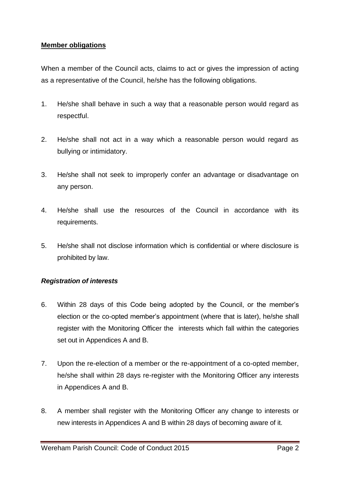#### **Member obligations**

When a member of the Council acts, claims to act or gives the impression of acting as a representative of the Council, he/she has the following obligations.

- 1. He/she shall behave in such a way that a reasonable person would regard as respectful.
- 2. He/she shall not act in a way which a reasonable person would regard as bullying or intimidatory.
- 3. He/she shall not seek to improperly confer an advantage or disadvantage on any person.
- 4. He/she shall use the resources of the Council in accordance with its requirements.
- 5. He/she shall not disclose information which is confidential or where disclosure is prohibited by law.

#### *Registration of interests*

- 6. Within 28 days of this Code being adopted by the Council, or the member's election or the co-opted member's appointment (where that is later), he/she shall register with the Monitoring Officer the interests which fall within the categories set out in Appendices A and B.
- 7. Upon the re-election of a member or the re-appointment of a co-opted member, he/she shall within 28 days re-register with the Monitoring Officer any interests in Appendices A and B.
- 8. A member shall register with the Monitoring Officer any change to interests or new interests in Appendices A and B within 28 days of becoming aware of it.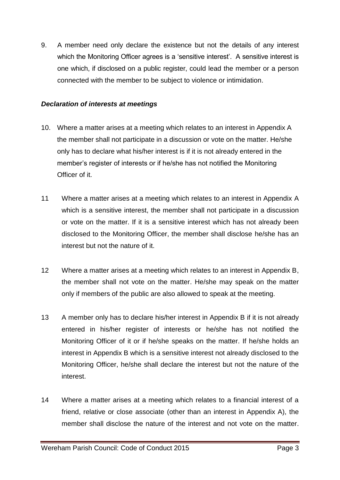9. A member need only declare the existence but not the details of any interest which the Monitoring Officer agrees is a 'sensitive interest'. A sensitive interest is one which, if disclosed on a public register, could lead the member or a person connected with the member to be subject to violence or intimidation.

#### *Declaration of interests at meetings*

- 10. Where a matter arises at a meeting which relates to an interest in Appendix A the member shall not participate in a discussion or vote on the matter. He/she only has to declare what his/her interest is if it is not already entered in the member's register of interests or if he/she has not notified the Monitoring Officer of it.
- 11 Where a matter arises at a meeting which relates to an interest in Appendix A which is a sensitive interest, the member shall not participate in a discussion or vote on the matter. If it is a sensitive interest which has not already been disclosed to the Monitoring Officer, the member shall disclose he/she has an interest but not the nature of it.
- 12 Where a matter arises at a meeting which relates to an interest in Appendix B, the member shall not vote on the matter. He/she may speak on the matter only if members of the public are also allowed to speak at the meeting.
- 13 A member only has to declare his/her interest in Appendix B if it is not already entered in his/her register of interests or he/she has not notified the Monitoring Officer of it or if he/she speaks on the matter. If he/she holds an interest in Appendix B which is a sensitive interest not already disclosed to the Monitoring Officer, he/she shall declare the interest but not the nature of the interest.
- 14 Where a matter arises at a meeting which relates to a financial interest of a friend, relative or close associate (other than an interest in Appendix A), the member shall disclose the nature of the interest and not vote on the matter.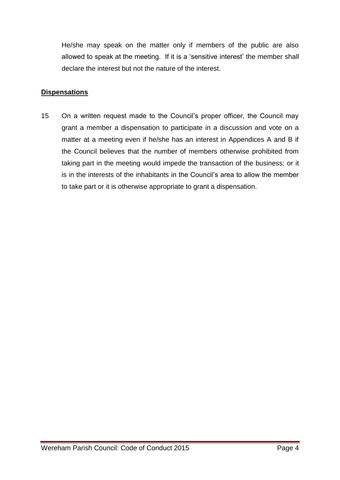He/she may speak on the matter only if members of the public are also allowed to speak at the meeting. If it is a 'sensitive interest' the member shall declare the interest but not the nature of the interest.

#### **Dispensations**

15 On a written request made to the Council's proper officer, the Council may grant a member a dispensation to participate in a discussion and vote on a matter at a meeting even if he/she has an interest in Appendices A and B if the Council believes that the number of members otherwise prohibited from taking part in the meeting would impede the transaction of the business; or it is in the interests of the inhabitants in the Council's area to allow the member to take part or it is otherwise appropriate to grant a dispensation.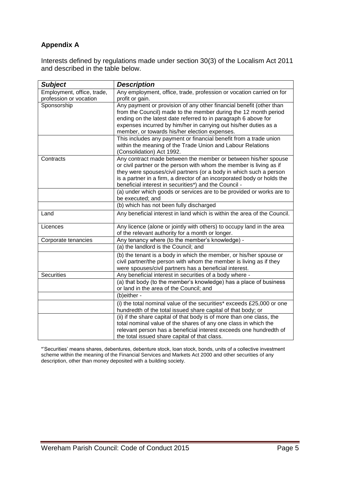## **Appendix A**

Interests defined by regulations made under section 30(3) of the Localism Act 2011 and described in the table below.

| <b>Subject</b>                                       | <b>Description</b>                                                                                                                                                                                                                                                                                                                              |
|------------------------------------------------------|-------------------------------------------------------------------------------------------------------------------------------------------------------------------------------------------------------------------------------------------------------------------------------------------------------------------------------------------------|
| Employment, office, trade,<br>profession or vocation | Any employment, office, trade, profession or vocation carried on for<br>profit or gain.                                                                                                                                                                                                                                                         |
| Sponsorship                                          | Any payment or provision of any other financial benefit (other than<br>from the Council) made to the member during the 12 month period<br>ending on the latest date referred to in paragraph 6 above for<br>expenses incurred by him/her in carrying out his/her duties as a<br>member, or towards his/her election expenses.                   |
|                                                      | This includes any payment or financial benefit from a trade union<br>within the meaning of the Trade Union and Labour Relations<br>(Consolidation) Act 1992.                                                                                                                                                                                    |
| Contracts                                            | Any contract made between the member or between his/her spouse<br>or civil partner or the person with whom the member is living as if<br>they were spouses/civil partners (or a body in which such a person<br>is a partner in a firm, a director of an incorporated body or holds the<br>beneficial interest in securities*) and the Council - |
|                                                      | (a) under which goods or services are to be provided or works are to<br>be executed; and                                                                                                                                                                                                                                                        |
|                                                      | (b) which has not been fully discharged                                                                                                                                                                                                                                                                                                         |
| Land                                                 | Any beneficial interest in land which is within the area of the Council.                                                                                                                                                                                                                                                                        |
| Licences                                             | Any licence (alone or jointly with others) to occupy land in the area<br>of the relevant authority for a month or longer.                                                                                                                                                                                                                       |
| Corporate tenancies                                  | Any tenancy where (to the member's knowledge) -                                                                                                                                                                                                                                                                                                 |
|                                                      | (a) the landlord is the Council; and                                                                                                                                                                                                                                                                                                            |
|                                                      | (b) the tenant is a body in which the member, or his/her spouse or<br>civil partner/the person with whom the member is living as if they<br>were spouses/civil partners has a beneficial interest.                                                                                                                                              |
| <b>Securities</b>                                    | Any beneficial interest in securities of a body where -                                                                                                                                                                                                                                                                                         |
|                                                      | (a) that body (to the member's knowledge) has a place of business<br>or land in the area of the Council; and                                                                                                                                                                                                                                    |
|                                                      | (b)either -                                                                                                                                                                                                                                                                                                                                     |
|                                                      | (i) the total nominal value of the securities* exceeds £25,000 or one<br>hundredth of the total issued share capital of that body; or                                                                                                                                                                                                           |
|                                                      | (ii) if the share capital of that body is of more than one class, the<br>total nominal value of the shares of any one class in which the<br>relevant person has a beneficial interest exceeds one hundredth of<br>the total issued share capital of that class.                                                                                 |

\*'Securities' means shares, debentures, debenture stock, loan stock, bonds, units of a collective investment scheme within the meaning of the Financial Services and Markets Act 2000 and other securities of any description, other than money deposited with a building society.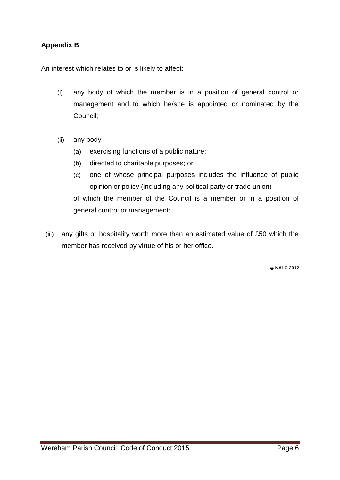## **Appendix B**

An interest which relates to or is likely to affect:

- (i) any body of which the member is in a position of general control or management and to which he/she is appointed or nominated by the Council;
- (ii) any body—
	- (a) exercising functions of a public nature;
	- (b) directed to charitable purposes; or
	- (c) one of whose principal purposes includes the influence of public opinion or policy (including any political party or trade union) of which the member of the Council is a member or in a position of general control or management;
- (iii) any gifts or hospitality worth more than an estimated value of £50 which the member has received by virtue of his or her office.

**NALC 2012**